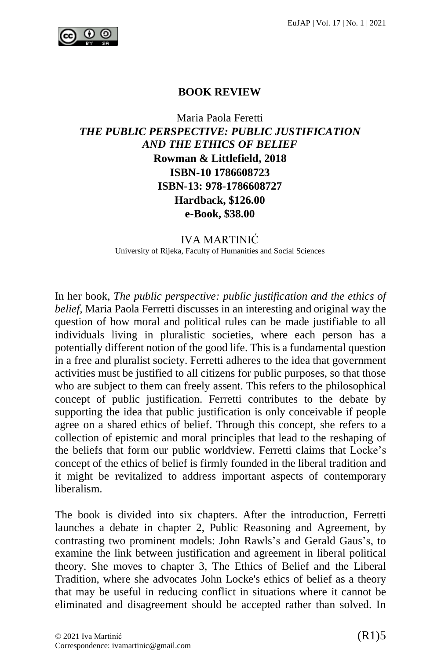

## **BOOK REVIEW**

## Maria Paola Feretti *THE PUBLIC PERSPECTIVE: PUBLIC JUSTIFICATION AND THE ETHICS OF BELIEF* **Rowman & Littlefield, 2018 ISBN-10 1786608723 ISBN-13: 978-1786608727 Hardback, \$126.00 e-Book, \$38.00**

IVA MARTINIĆ University of Rijeka, Faculty of Humanities and Social Sciences

In her book, *The public perspective: public justification and the ethics of belief,* Maria Paola Ferretti discusses in an interesting and original way the question of how moral and political rules can be made justifiable to all individuals living in pluralistic societies, where each person has a potentially different notion of the good life. This is a fundamental question in a free and pluralist society. Ferretti adheres to the idea that government activities must be justified to all citizens for public purposes, so that those who are subject to them can freely assent. This refers to the philosophical concept of public justification. Ferretti contributes to the debate by supporting the idea that public justification is only conceivable if people agree on a shared ethics of belief. Through this concept, she refers to a collection of epistemic and moral principles that lead to the reshaping of the beliefs that form our public worldview. Ferretti claims that Locke's concept of the ethics of belief is firmly founded in the liberal tradition and it might be revitalized to address important aspects of contemporary liberalism.

The book is divided into six chapters. After the introduction, Ferretti launches a debate in chapter 2, Public Reasoning and Agreement, by contrasting two prominent models: John Rawls's and Gerald Gaus's, to examine the link between justification and agreement in liberal political theory. She moves to chapter 3, The Ethics of Belief and the Liberal Tradition, where she advocates John Locke's ethics of belief as a theory that may be useful in reducing conflict in situations where it cannot be eliminated and disagreement should be accepted rather than solved. In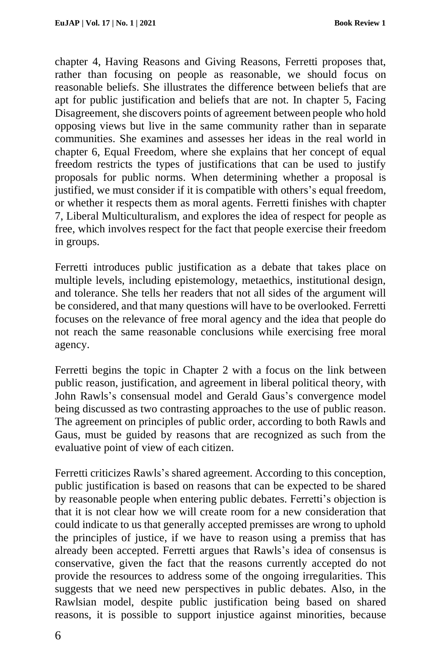chapter 4, Having Reasons and Giving Reasons, Ferretti proposes that, rather than focusing on people as reasonable, we should focus on reasonable beliefs. She illustrates the difference between beliefs that are apt for public justification and beliefs that are not. In chapter 5, Facing Disagreement, she discovers points of agreement between people who hold opposing views but live in the same community rather than in separate communities. She examines and assesses her ideas in the real world in chapter 6, Equal Freedom, where she explains that her concept of equal freedom restricts the types of justifications that can be used to justify proposals for public norms. When determining whether a proposal is justified, we must consider if it is compatible with others's equal freedom, or whether it respects them as moral agents. Ferretti finishes with chapter 7, Liberal Multiculturalism, and explores the idea of respect for people as free, which involves respect for the fact that people exercise their freedom in groups.

Ferretti introduces public justification as a debate that takes place on multiple levels, including epistemology, metaethics, institutional design, and tolerance. She tells her readers that not all sides of the argument will be considered, and that many questions will have to be overlooked. Ferretti focuses on the relevance of free moral agency and the idea that people do not reach the same reasonable conclusions while exercising free moral agency.

Ferretti begins the topic in Chapter 2 with a focus on the link between public reason, justification, and agreement in liberal political theory, with John Rawls's consensual model and Gerald Gaus's convergence model being discussed as two contrasting approaches to the use of public reason. The agreement on principles of public order, according to both Rawls and Gaus, must be guided by reasons that are recognized as such from the evaluative point of view of each citizen.

Ferretti criticizes Rawls's shared agreement. According to this conception, public justification is based on reasons that can be expected to be shared by reasonable people when entering public debates. Ferretti's objection is that it is not clear how we will create room for a new consideration that could indicate to us that generally accepted premisses are wrong to uphold the principles of justice, if we have to reason using a premiss that has already been accepted. Ferretti argues that Rawls's idea of consensus is conservative, given the fact that the reasons currently accepted do not provide the resources to address some of the ongoing irregularities. This suggests that we need new perspectives in public debates. Also, in the Rawlsian model, despite public justification being based on shared reasons, it is possible to support injustice against minorities, because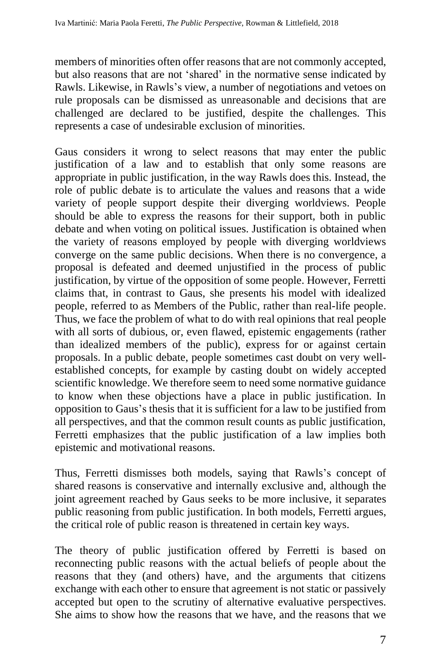members of minorities often offer reasons that are not commonly accepted, but also reasons that are not 'shared' in the normative sense indicated by Rawls. Likewise, in Rawls's view, a number of negotiations and vetoes on rule proposals can be dismissed as unreasonable and decisions that are challenged are declared to be justified, despite the challenges. This represents a case of undesirable exclusion of minorities.

Gaus considers it wrong to select reasons that may enter the public justification of a law and to establish that only some reasons are appropriate in public justification, in the way Rawls does this. Instead, the role of public debate is to articulate the values and reasons that a wide variety of people support despite their diverging worldviews. People should be able to express the reasons for their support, both in public debate and when voting on political issues. Justification is obtained when the variety of reasons employed by people with diverging worldviews converge on the same public decisions. When there is no convergence, a proposal is defeated and deemed unjustified in the process of public justification, by virtue of the opposition of some people. However, Ferretti claims that, in contrast to Gaus, she presents his model with idealized people, referred to as Members of the Public, rather than real-life people. Thus, we face the problem of what to do with real opinions that real people with all sorts of dubious, or, even flawed, epistemic engagements (rather than idealized members of the public), express for or against certain proposals. In a public debate, people sometimes cast doubt on very wellestablished concepts, for example by casting doubt on widely accepted scientific knowledge. We therefore seem to need some normative guidance to know when these objections have a place in public justification. In opposition to Gaus's thesis that it is sufficient for a law to be justified from all perspectives, and that the common result counts as public justification, Ferretti emphasizes that the public justification of a law implies both epistemic and motivational reasons.

Thus, Ferretti dismisses both models, saying that Rawls's concept of shared reasons is conservative and internally exclusive and, although the joint agreement reached by Gaus seeks to be more inclusive, it separates public reasoning from public justification. In both models, Ferretti argues, the critical role of public reason is threatened in certain key ways.

The theory of public justification offered by Ferretti is based on reconnecting public reasons with the actual beliefs of people about the reasons that they (and others) have, and the arguments that citizens exchange with each other to ensure that agreement is not static or passively accepted but open to the scrutiny of alternative evaluative perspectives. She aims to show how the reasons that we have, and the reasons that we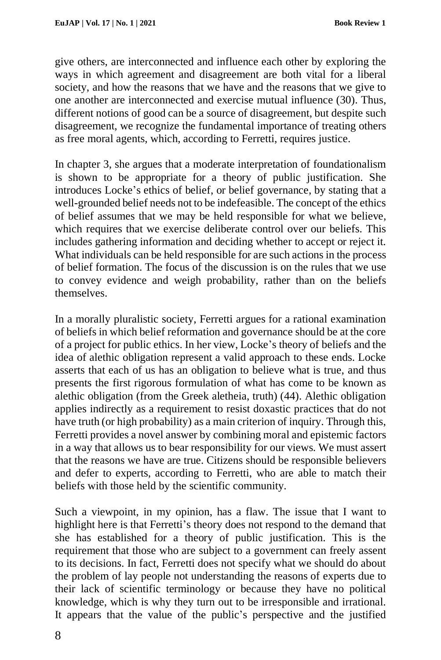give others, are interconnected and influence each other by exploring the ways in which agreement and disagreement are both vital for a liberal society, and how the reasons that we have and the reasons that we give to one another are interconnected and exercise mutual influence (30). Thus, different notions of good can be a source of disagreement, but despite such disagreement, we recognize the fundamental importance of treating others as free moral agents, which, according to Ferretti, requires justice.

In chapter 3, she argues that a moderate interpretation of foundationalism is shown to be appropriate for a theory of public justification. She introduces Locke's ethics of belief, or belief governance, by stating that a well-grounded belief needs not to be indefeasible. The concept of the ethics of belief assumes that we may be held responsible for what we believe, which requires that we exercise deliberate control over our beliefs. This includes gathering information and deciding whether to accept or reject it. What individuals can be held responsible for are such actions in the process of belief formation. The focus of the discussion is on the rules that we use to convey evidence and weigh probability, rather than on the beliefs themselves.

In a morally pluralistic society, Ferretti argues for a rational examination of beliefs in which belief reformation and governance should be at the core of a project for public ethics. In her view, Locke's theory of beliefs and the idea of alethic obligation represent a valid approach to these ends. Locke asserts that each of us has an obligation to believe what is true, and thus presents the first rigorous formulation of what has come to be known as alethic obligation (from the Greek aletheia, truth) (44). Alethic obligation applies indirectly as a requirement to resist doxastic practices that do not have truth (or high probability) as a main criterion of inquiry. Through this, Ferretti provides a novel answer by combining moral and epistemic factors in a way that allows us to bear responsibility for our views. We must assert that the reasons we have are true. Citizens should be responsible believers and defer to experts, according to Ferretti, who are able to match their beliefs with those held by the scientific community.

Such a viewpoint, in my opinion, has a flaw. The issue that I want to highlight here is that Ferretti's theory does not respond to the demand that she has established for a theory of public justification. This is the requirement that those who are subject to a government can freely assent to its decisions. In fact, Ferretti does not specify what we should do about the problem of lay people not understanding the reasons of experts due to their lack of scientific terminology or because they have no political knowledge, which is why they turn out to be irresponsible and irrational. It appears that the value of the public's perspective and the justified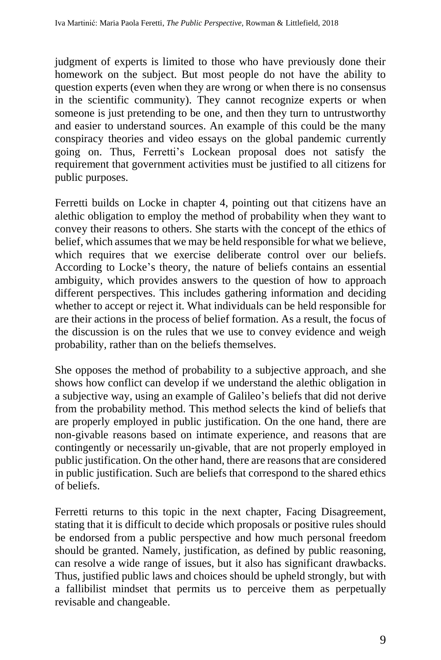judgment of experts is limited to those who have previously done their homework on the subject. But most people do not have the ability to question experts (even when they are wrong or when there is no consensus in the scientific community). They cannot recognize experts or when someone is just pretending to be one, and then they turn to untrustworthy and easier to understand sources. An example of this could be the many conspiracy theories and video essays on the global pandemic currently going on. Thus, Ferretti's Lockean proposal does not satisfy the requirement that government activities must be justified to all citizens for public purposes.

Ferretti builds on Locke in chapter 4, pointing out that citizens have an alethic obligation to employ the method of probability when they want to convey their reasons to others. She starts with the concept of the ethics of belief, which assumes that we may be held responsible for what we believe, which requires that we exercise deliberate control over our beliefs. According to Locke's theory, the nature of beliefs contains an essential ambiguity, which provides answers to the question of how to approach different perspectives. This includes gathering information and deciding whether to accept or reject it. What individuals can be held responsible for are their actions in the process of belief formation. As a result, the focus of the discussion is on the rules that we use to convey evidence and weigh probability, rather than on the beliefs themselves.

She opposes the method of probability to a subjective approach, and she shows how conflict can develop if we understand the alethic obligation in a subjective way, using an example of Galileo's beliefs that did not derive from the probability method. This method selects the kind of beliefs that are properly employed in public justification. On the one hand, there are non-givable reasons based on intimate experience, and reasons that are contingently or necessarily un-givable, that are not properly employed in public justification. On the other hand, there are reasons that are considered in public justification. Such are beliefs that correspond to the shared ethics of beliefs.

Ferretti returns to this topic in the next chapter, Facing Disagreement, stating that it is difficult to decide which proposals or positive rules should be endorsed from a public perspective and how much personal freedom should be granted. Namely, justification, as defined by public reasoning, can resolve a wide range of issues, but it also has significant drawbacks. Thus, justified public laws and choices should be upheld strongly, but with a fallibilist mindset that permits us to perceive them as perpetually revisable and changeable.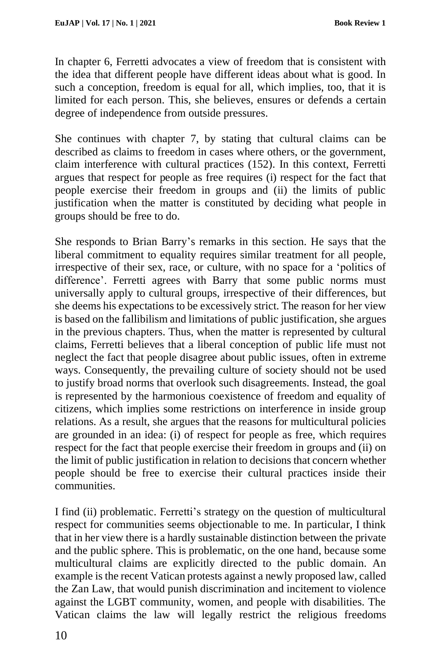In chapter 6, Ferretti advocates a view of freedom that is consistent with the idea that different people have different ideas about what is good. In such a conception, freedom is equal for all, which implies, too, that it is limited for each person. This, she believes, ensures or defends a certain degree of independence from outside pressures.

She continues with chapter 7, by stating that cultural claims can be described as claims to freedom in cases where others, or the government, claim interference with cultural practices (152). In this context, Ferretti argues that respect for people as free requires (i) respect for the fact that people exercise their freedom in groups and (ii) the limits of public justification when the matter is constituted by deciding what people in groups should be free to do.

She responds to Brian Barry's remarks in this section. He says that the liberal commitment to equality requires similar treatment for all people, irrespective of their sex, race, or culture, with no space for a 'politics of difference'. Ferretti agrees with Barry that some public norms must universally apply to cultural groups, irrespective of their differences, but she deems his expectations to be excessively strict. The reason for her view is based on the fallibilism and limitations of public justification, she argues in the previous chapters. Thus, when the matter is represented by cultural claims, Ferretti believes that a liberal conception of public life must not neglect the fact that people disagree about public issues, often in extreme ways. Consequently, the prevailing culture of society should not be used to justify broad norms that overlook such disagreements. Instead, the goal is represented by the harmonious coexistence of freedom and equality of citizens, which implies some restrictions on interference in inside group relations. As a result, she argues that the reasons for multicultural policies are grounded in an idea: (i) of respect for people as free, which requires respect for the fact that people exercise their freedom in groups and (ii) on the limit of public justification in relation to decisions that concern whether people should be free to exercise their cultural practices inside their communities.

I find (ii) problematic. Ferretti's strategy on the question of multicultural respect for communities seems objectionable to me. In particular, I think that in her view there is a hardly sustainable distinction between the private and the public sphere. This is problematic, on the one hand, because some multicultural claims are explicitly directed to the public domain. An example is the recent Vatican protests against a newly proposed law, called the Zan Law, that would punish discrimination and incitement to violence against the LGBT community, women, and people with disabilities. The Vatican claims the law will legally restrict the religious freedoms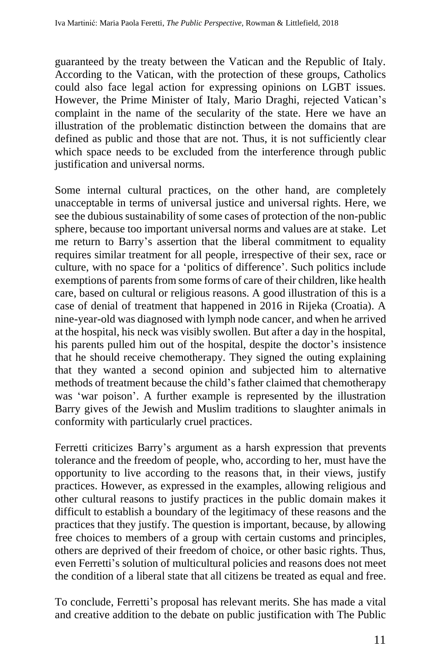guaranteed by the treaty between the Vatican and the Republic of Italy. According to the Vatican, with the protection of these groups, Catholics could also face legal action for expressing opinions on LGBT issues. However, the Prime Minister of Italy, Mario Draghi, rejected Vatican's complaint in the name of the secularity of the state. Here we have an illustration of the problematic distinction between the domains that are defined as public and those that are not. Thus, it is not sufficiently clear which space needs to be excluded from the interference through public justification and universal norms.

Some internal cultural practices, on the other hand, are completely unacceptable in terms of universal justice and universal rights. Here, we see the dubious sustainability of some cases of protection of the non-public sphere, because too important universal norms and values are at stake. Let me return to Barry's assertion that the liberal commitment to equality requires similar treatment for all people, irrespective of their sex, race or culture, with no space for a 'politics of difference'. Such politics include exemptions of parents from some forms of care of their children, like health care, based on cultural or religious reasons. A good illustration of this is a case of denial of treatment that happened in 2016 in Rijeka (Croatia). A nine-year-old was diagnosed with lymph node cancer, and when he arrived at the hospital, his neck was visibly swollen. But after a day in the hospital, his parents pulled him out of the hospital, despite the doctor's insistence that he should receive chemotherapy. They signed the outing explaining that they wanted a second opinion and subjected him to alternative methods of treatment because the child's father claimed that chemotherapy was 'war poison'. A further example is represented by the illustration Barry gives of the Jewish and Muslim traditions to slaughter animals in conformity with particularly cruel practices.

Ferretti criticizes Barry's argument as a harsh expression that prevents tolerance and the freedom of people, who, according to her, must have the opportunity to live according to the reasons that, in their views, justify practices. However, as expressed in the examples, allowing religious and other cultural reasons to justify practices in the public domain makes it difficult to establish a boundary of the legitimacy of these reasons and the practices that they justify. The question is important, because, by allowing free choices to members of a group with certain customs and principles, others are deprived of their freedom of choice, or other basic rights. Thus, even Ferretti's solution of multicultural policies and reasons does not meet the condition of a liberal state that all citizens be treated as equal and free.

To conclude, Ferretti's proposal has relevant merits. She has made a vital and creative addition to the debate on public justification with The Public